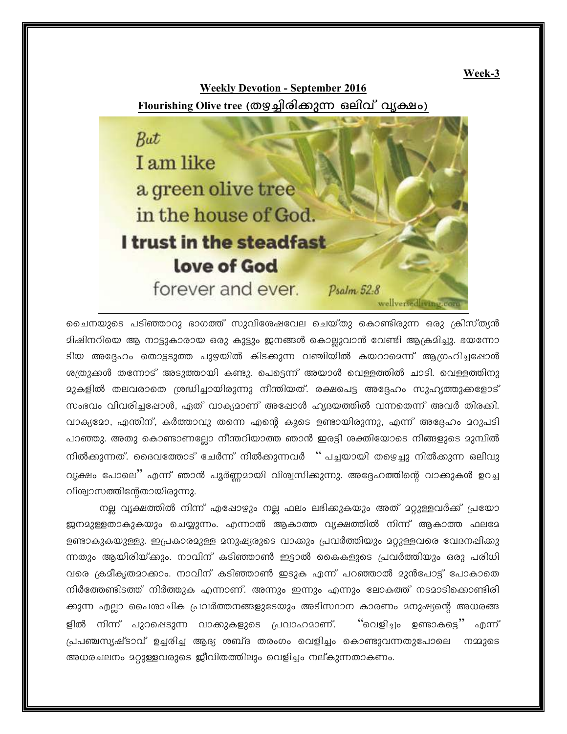Week-3

**Weekly Devotion - September 2016** Flourishing Olive tree (തഋച്ചിരിക്കുന്ന ഒലിവ് വൃക്ഷം)



ചൈനയുടെ പടിഞ്ഞാറു ഭാഗത്ത് സുവിശേഷവേല ചെയ്തു കൊണ്ടിരുന്ന ഒരു ക്രിസ്ത്യൻ മിഷിനറിയെ ആ നാട്ടുകാരായ ഒരു കുട്ടും ജനങ്ങൾ കൊല്ലുവാൻ വേണ്ടി ആക്രമിച്ചു. ഭയന്നോ ടിയ അദ്ദേഹം തൊട്ടടുത്ത പുഴയിൽ കിടക്കുന്ന വഞ്ചിയിൽ കയറാമെന്ന് ആഗ്രഹിച്ചപ്പോൾ ശത്രുക്കൾ തന്നോട് അടുത്തായി കണ്ടു. പെട്ടെന്ന് അയാൾ വെള്ളത്തിൽ ചാടി. വെള്ളത്തിനു സംഭവം വിവരിച്ചപ്പോൾ, ഏത് വാക്യമാണ് അഷോൾ ഹൃദയത്തിൽ വന്നതെന്ന് അവർ തിരക്കി. വാക്യമോ, എന്തിന്, കർത്താവു തന്നെ എന്റെ കൂടെ ഉണ്ടായിരുന്നു, എന്ന് അദ്ദേഹം മറുപടി പറഞ്ഞു. അതു കൊണ്ടാണല്ലോ നീന്തറിയാത്ത ഞാൻ ഇരട്ടി ശക്തിയോടെ നിങ്ങളുടെ മുമ്പിൽ നിൽക്കുന്നത്. ദൈവത്തോട് ചേർന്ന് നിൽക്കുന്നവർ '' പച്ചയായി തഴെച്ചു നിൽക്കുന്ന ഒലിവു വ്യക്ഷം പോലെ'' എന്ന് ഞാൻ പൂർണ്ണമായി വിശ്വസിക്കുന്നു. അദ്ദേഹത്തിന്റെ വാക്കുകൾ ഉറച്ച വിശ്വാസത്തിന്റേതായിരുന്നു.

നല്ല വ്യക്ഷത്തിൽ നിന്ന് എഷോഴും നല്ല ഫലം ലഭിക്കുകയും അത് മറ്റുള്ളവർക്ക് പ്രയോ ജനമുള്ളതാകുകയും ചെയ്യുന്നം. എന്നാൽ ആകാത്ത വ്യക്ഷത്തിൽ നിന്ന് ആകാത്ത ഫലമേ ഉണ്ടാകുകയുള്ളു. ഇപ്രകാരമുള്ള മനുഷ്യരുടെ വാക്കും പ്രവർത്തിയും മറ്റുള്ളവരെ വേദനഷിക്കു ന്നതും ആയിരിയ്ക്കും. നാവിന് കടിഞ്ഞാൺ ഇട്ടാൽ കൈകളുടെ പ്രവർത്തിയും ഒരു പരിധി വരെ ക്രമീകൃതമാക്കാം. നാവിന് കടിഞ്ഞാൺ ഇടുക എന്ന് പറഞ്ഞാൽ മുൻപോട്ട് പോകാതെ നിർത്തേണ്ടിടത്ത് നിർത്തുക എന്നാണ്. അന്നും ഇന്നും എന്നും ലോകത്ത് നടമാടിക്കൊണ്ടിരി ക്കുന്ന എല്ലാ പൈരാചിക പ്രവർത്തനങ്ങളുടേയും അടിസ്ഥാന കാരണം മനുഷ്യന്റെ അധരങ്ങ ്'വെളിച്ചം ഉണ്ടാകട്ടെ'' എന്ന് ളിൽ നിന്ന് പുറഷെടുന്ന വാക്കുകളുടെ പ്രവാഹമാണ്. പ്രപഞ്ചസൃഷ്ടാവ് ഉച്ചരിച്ച ആദ്യ ശബ്ദ തരംഗം വെളിച്ചം കൊണ്ടുവന്നതുപോലെ നമ്മുടെ അധരചലനം മറ്റുള്ളവരുടെ ജീവിതത്തിലും വെളിച്ചം നല്കുന്നതാകണം.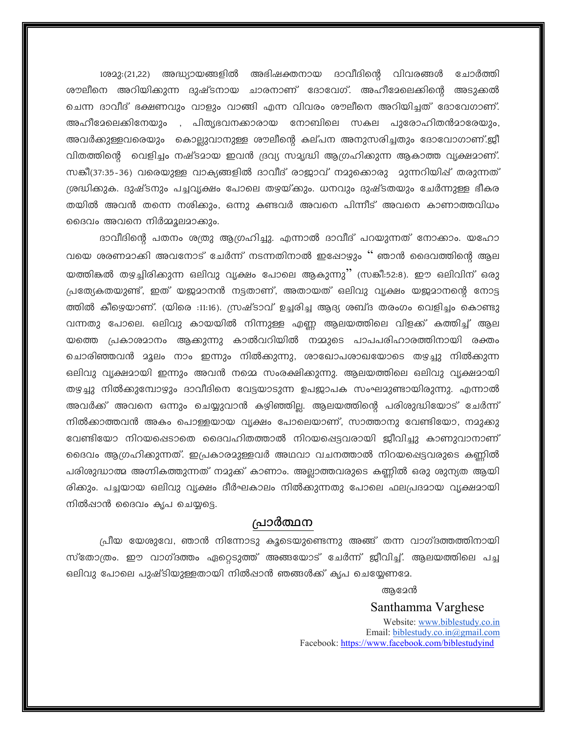1ശമു:(21,22) അദ്ധ്യായങ്ങളിൽ അഭിഷക്തനായ ദാവീദിന്റെ വിവരങ്ങൾ ചോർത്തി ശൗലീനെ അറിയിക്കുന്ന ദുഷ്ടനായ ചാരനാണ് ദോവേഗ്. അഹീദേലെക്കിന്റെ അടുക്കൽ ചെന്ന ദാവീദ് ഭക്ഷണവും വാളും വാങ്ങി എന്ന വിവരം ശൗലീനെ അറിയിച്ചത് ദോവേഗാണ്. അഹീമേലെക്കിനേയും , പിതൃഭവനക്കാരായ നോബിലെ സകല പുരോഹിതൻമാരേയും, അവർക്കുള്ളവരെയും കൊല്ലുവാനുള്ള ശൗലീന്റെ കല്പന അനുസരിച്ചതും ദോവോഗാണ്.ജീ വിതത്തിന്റെ വെളിച്ചം നഷ്ടമായ ഇവൻ ദ്രവ്യ സമൃദ്ധി ആഗ്രഹിക്കുന്ന ആകാത്ത വൃക്ഷമാണ്. സങ്കീ(37:35-36) വരെയുള്ള വാക്യങ്ങളിൽ ദാവീദ് രാജ്ജാവ് നമുക്കൊരു മുന്നറിയിഷ് തരുന്നത് ശ്രദ്ധിക്കുക. ദുഷ്ടനും പച്ചവൃക്ഷം പോലെ തഴയ്ക്കും. ധനവും ദുഷ്ടതയും ചേർന്നുള്ള ഭീകര തയിൽ അവൻ തന്നെ നശിക്കും, ഒന്നു കണ്ടവർ അവനെ പിന്നീട് അവനെ കാണാത്തവിധം ദൈവം അവനെ നിർമ്മൂലമാക്കും.

ദാവീദിന്റെ പതനം ശത്രു ആഗ്രഹിച്ചു. എന്നാൽ ദാവീദ് പറയുന്നത് നോക്കാം. യഹോ വയെ ശരണമാക്കി അവനോട് ചേർന്ന് നടന്നതിനാൽ ഇഷോഴും '' ഞാൻ ദൈവത്തിന്റെ ആല യത്തികൽ തഴച്ചിരിക്കുന്ന ഒലിവു വൃക്ഷം പോലെ ആകുന്നു'' (സങ്കീ:52:8). ഈ ഒലിവിന് ഒരു പ്രത്യേകതയുണ്ട്, ഇത് യജമാനൻ നട്ടതാണ്, അതായത് ഒലിവു വൃക്ഷം യജമാനന്റെ നോട്ട ത്തിൽ കീഴെയാണ്. (യിരെ :11:16). സ്രഷ്ടാവ് ഉച്ചരിച്ച ആദ്യ ശബ്ദ തരംഗം വെളിച്ചം കൊണ്ടു വന്നതു പോലെ. ഒലിവു കായയിൽ നിന്നുള്ള എണ്ണ ആലയത്തിലെ വിളക്ക് കത്തിച്ച് ആല യത്തെ പ്രകാശമാനം ആക്കുന്നു കാൽവറിയിൽ നമ്മുടെ പാപപരിഹാരത്തിനായി രക്തം ചൊരിഞ്ഞവൻ മൂലം നാം ഇന്നും നിൽക്കുന്നു, ശാഖോപശാഖയോടെ തഴ്ച്ചു നിൽക്കുന്ന ഒലിവു വ്യക്ഷമായി ഇന്നും അവൻ നമ്മെ സംരക്ഷിക്കുന്നു. ആലയത്തിലെ ഒലിവു വ്യക്ഷമായി തഴ്ച്ചു നിൽക്കുമ്പോഴും ദാവീദിനെ വേട്ടയാടുന്ന ഉപജാപക സംഘമുണ്ടായിരുന്നു. എന്നാൽ അവർക്ക് അവനെ ഒന്നും ചെയ്യുവാൻ കഴിഞ്ഞില്ല. ആലയത്തിന്റെ പരിശുദ്ധിയോട് ചേർന്ന് നിൽക്കാത്തവൻ അകം പൊള്ളയായ വൃക്ഷം പോലെയാണ്, സാത്താനു വേണ്ടിയോ, നമുക്കു വേണ്ടിയോ നിറയപ്പെടാതെ ദൈവഹിതത്താൽ നിറയപ്പെട്ടവരായി ജീവിച്ചു കാണുവാനാണ് ദൈവം ആഗ്രഹിക്കുന്നത്. ഇപ്രകാരമുള്ളവർ അഥവാ വചനത്താൽ നിറയപ്പെട്ടവരുടെ കണിൽ പരിശുദ്ധാത്മ അഗ്നികത്തുന്നത് നമുക്ക് കാണാം. അല്ലാത്തവരുടെ കണ്ണിൽ ഒരു ശുന്യത ആയി രിക്കും. പച്ചയായ ഒലിവു വൃക്ഷം ദീർഘകാലം നിൽക്കുന്നതു പോലെ ഫലപ്രദമായ വൃക്ഷമായി നിൽപ്പാൻ ദൈവം കൃപ ചെയ്യട്ടെ.

## പ്രാർത്ഥന

പ്രീയ യേശുവേ, ഞാൻ നിന്നോടു കൂടെയുണ്ടെന്നു അങ്ങ് തന്ന വാഗ്ദത്തത്തിനായി സ്തോത്രം. ഈ വാഗ്ദത്തം ഏറ്റെടുത്ത് അങ്ങയോട് ചേർന്ന് ജീവിച്ച്. ആലയത്തിലെ പച്ച ഒലിവു പോലെ പുഷ്ടിയുള്ളതായി നിൽപ്പാൻ ഞങ്ങൾക്ക് കൃപ ചെയ്യേണമേ.

## ആമേൻ

## Santhamma Varghese

Website: www.biblestudy.co.in Email: biblestudy.co.in@gmail.com Facebook: https://www.facebook.com/biblestudyind